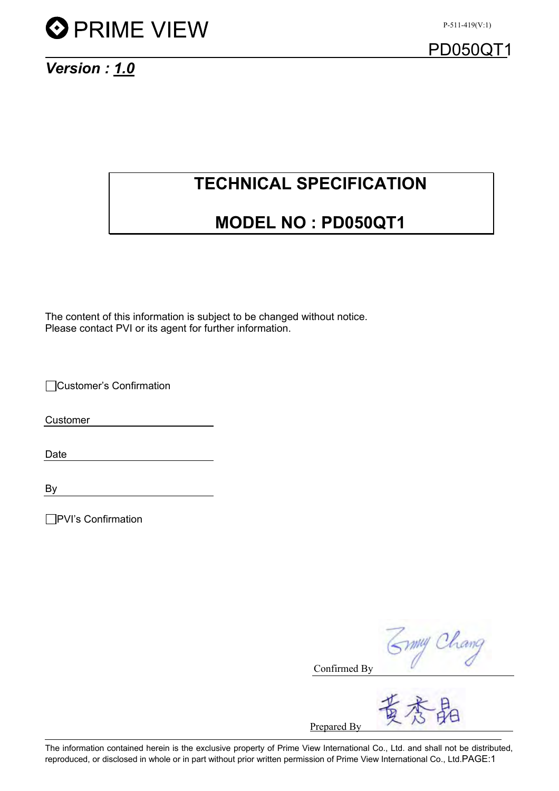

*Version : 1.0*

## **TECHNICAL SPECIFICATION**

## **MODEL NO : PD050QT1**

The content of this information is subject to be changed without notice. Please contact PVI or its agent for further information.

Customer's Confirmation

Customer

Date

By

PVI's Confirmation

Symy Chang

Confirmed By

Prepared By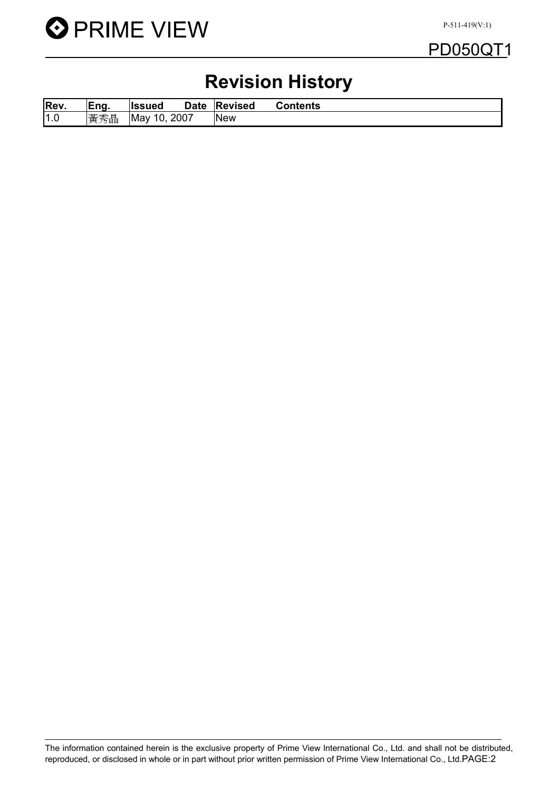

## PD050QT1

# **Revision History**

| Rev. | Eng. | llssued            | <b>Date</b> | <b>Revised</b> | <b>Contents</b> |  |
|------|------|--------------------|-------------|----------------|-----------------|--|
| 1.0  | 黃秀晶  | 10.<br><b>IMay</b> | 2007        | <b>New</b>     |                 |  |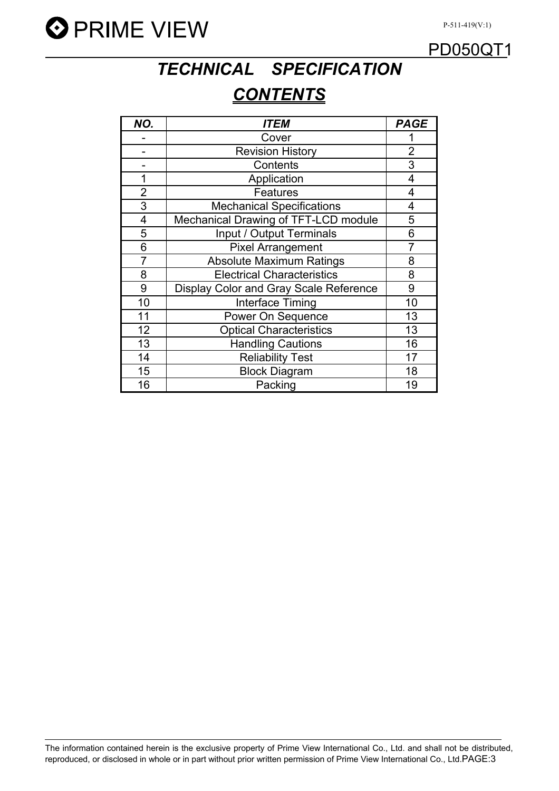



# *TECHNICAL SPECIFICATION CONTENTS*

| NO.                     | ITEM                                   | <b>PAGE</b> |
|-------------------------|----------------------------------------|-------------|
|                         | Cover                                  |             |
|                         | <b>Revision History</b>                | 2           |
|                         | Contents                               | 3           |
| 1                       | Application                            | 4           |
| $\overline{2}$          | <b>Features</b>                        | 4           |
| 3                       | <b>Mechanical Specifications</b>       | 4           |
| $\overline{\mathbf{4}}$ | Mechanical Drawing of TFT-LCD module   | 5           |
| 5                       | Input / Output Terminals               | 6           |
| 6                       | <b>Pixel Arrangement</b>               | 7           |
| $\overline{7}$          | <b>Absolute Maximum Ratings</b>        | 8           |
| 8                       | <b>Electrical Characteristics</b>      | 8           |
| 9                       | Display Color and Gray Scale Reference | 9           |
| 10                      | Interface Timing                       | 10          |
| 11                      | Power On Sequence                      | 13          |
| 12                      | <b>Optical Characteristics</b>         | 13          |
| 13                      | <b>Handling Cautions</b>               | 16          |
| 14                      | <b>Reliability Test</b>                | 17          |
| 15                      | <b>Block Diagram</b>                   | 18          |
| 16                      | Packing                                | 19          |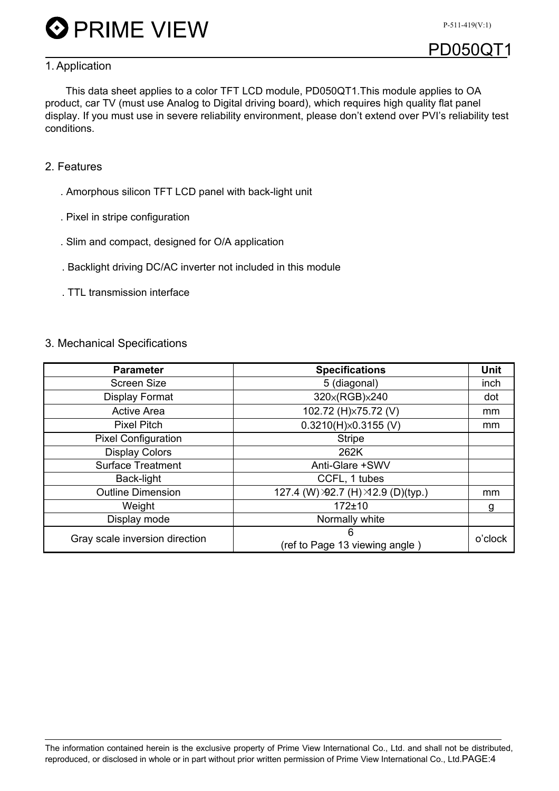

## **PD050Q**

#### 1. Application

This data sheet applies to a color TFT LCD module, PD050QT1.This module applies to OA product, car TV (must use Analog to Digital driving board), which requires high quality flat panel display. If you must use in severe reliability environment, please don't extend over PVI's reliability test conditions.

#### 2. Features

- . Amorphous silicon TFT LCD panel with back-light unit
- . Pixel in stripe configuration
- . Slim and compact, designed for O/A application
- . Backlight driving DC/AC inverter not included in this module
- . TTL transmission interface

#### 3. Mechanical Specifications

| <b>Parameter</b>               | <b>Specifications</b>               | <b>Unit</b> |
|--------------------------------|-------------------------------------|-------------|
| <b>Screen Size</b>             | 5 (diagonal)                        | inch        |
| <b>Display Format</b>          | 320x(RGB)x240                       | dot         |
| <b>Active Area</b>             | 102.72 (H)×75.72 (V)                | mm          |
| <b>Pixel Pitch</b>             | $0.3210(H)\times 0.3155$ (V)        | mm          |
| <b>Pixel Configuration</b>     | <b>Stripe</b>                       |             |
| <b>Display Colors</b>          | 262K                                |             |
| <b>Surface Treatment</b>       | Anti-Glare +SWV                     |             |
| Back-light                     | CCFL, 1 tubes                       |             |
| <b>Outline Dimension</b>       | 127.4 (W) >92.7 (H) >12.9 (D)(typ.) | mm          |
| Weight                         | $172 + 10$                          | g           |
| Display mode                   | Normally white                      |             |
| Gray scale inversion direction | 6<br>(ref to Page 13 viewing angle) | o'clock     |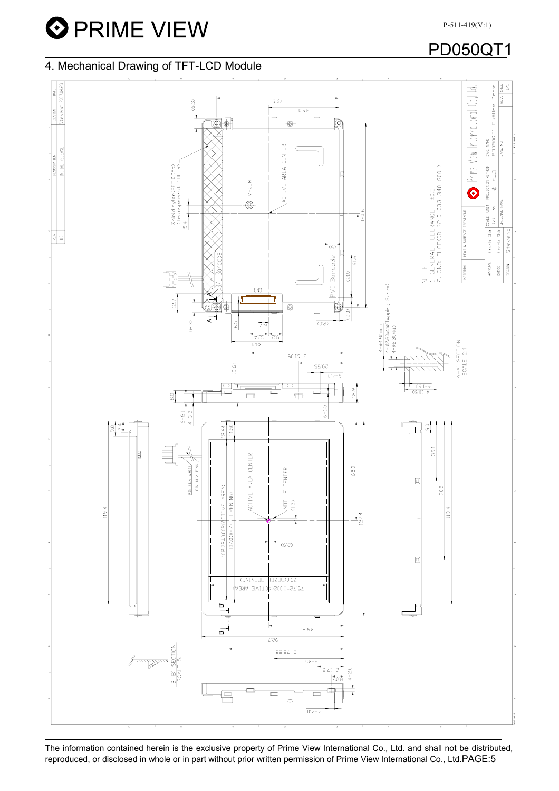**O** PRIME VIEW

P-511-419(V:1)

## PD050QT1

#### 4. Mechanical Drawing of TFT-LCD Module



The information contained herein is the exclusive property of Prime View International Co., Ltd. and shall not be distributed, reproduced, or disclosed in whole or in part without prior written permission of Prime View International Co., Ltd.PAGE:5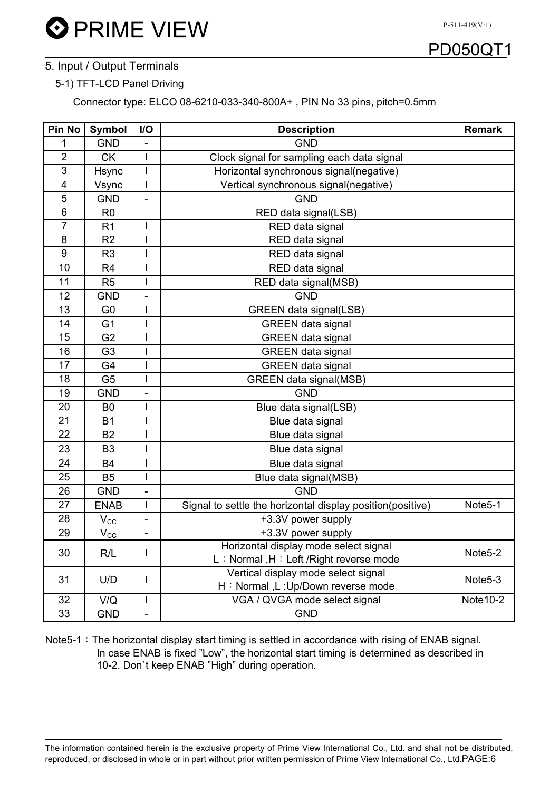

#### 5. Input / Output Terminals

#### 5-1) TFT-LCD Panel Driving

Connector type: ELCO 08-6210-033-340-800A+ , PIN No 33 pins, pitch=0.5mm

| Pin No         | <b>Symbol</b>        | I/O                          | <b>Description</b>                                         | <b>Remark</b>        |  |  |  |
|----------------|----------------------|------------------------------|------------------------------------------------------------|----------------------|--|--|--|
| 1              | <b>GND</b>           |                              | <b>GND</b>                                                 |                      |  |  |  |
| $\overline{2}$ | <b>CK</b>            | ı                            | Clock signal for sampling each data signal                 |                      |  |  |  |
| 3              | <b>Hsync</b>         | Ī                            | Horizontal synchronous signal(negative)                    |                      |  |  |  |
| 4              | Vsync                | Ī                            | Vertical synchronous signal(negative)                      |                      |  |  |  |
| 5              | <b>GND</b>           |                              | <b>GND</b>                                                 |                      |  |  |  |
| 6              | R <sub>0</sub>       |                              | RED data signal(LSB)                                       |                      |  |  |  |
| $\overline{7}$ | R <sub>1</sub>       | I                            | RED data signal                                            |                      |  |  |  |
| 8              | R <sub>2</sub>       |                              | RED data signal                                            |                      |  |  |  |
| 9              | R <sub>3</sub>       |                              | RED data signal                                            |                      |  |  |  |
| 10             | R <sub>4</sub>       | I                            | RED data signal                                            |                      |  |  |  |
| 11             | R <sub>5</sub>       | Ī                            | RED data signal(MSB)                                       |                      |  |  |  |
| 12             | <b>GND</b>           |                              | <b>GND</b>                                                 |                      |  |  |  |
| 13             | G <sub>0</sub>       |                              | <b>GREEN</b> data signal(LSB)                              |                      |  |  |  |
| 14             | G <sub>1</sub>       |                              | <b>GREEN</b> data signal                                   |                      |  |  |  |
| 15             | G <sub>2</sub>       | I                            | <b>GREEN</b> data signal                                   |                      |  |  |  |
| 16             | G <sub>3</sub>       |                              | <b>GREEN</b> data signal                                   |                      |  |  |  |
| 17             | G4                   | I                            | <b>GREEN</b> data signal                                   |                      |  |  |  |
| 18             | G <sub>5</sub>       | I                            | GREEN data signal(MSB)                                     |                      |  |  |  |
| 19             | <b>GND</b>           | -                            | <b>GND</b>                                                 |                      |  |  |  |
| 20             | B <sub>0</sub>       | I                            | Blue data signal(LSB)                                      |                      |  |  |  |
| 21             | <b>B1</b>            |                              | Blue data signal                                           |                      |  |  |  |
| 22             | <b>B2</b>            |                              | Blue data signal                                           |                      |  |  |  |
| 23             | B <sub>3</sub>       |                              | Blue data signal                                           |                      |  |  |  |
| 24             | B4                   |                              | Blue data signal                                           |                      |  |  |  |
| 25             | B <sub>5</sub>       | I                            | Blue data signal(MSB)                                      |                      |  |  |  |
| 26             | <b>GND</b>           | $\overline{\phantom{m}}$     | <b>GND</b>                                                 |                      |  |  |  |
| 27             | <b>ENAB</b>          | I                            | Signal to settle the horizontal display position(positive) | Note <sub>5-1</sub>  |  |  |  |
| 28             | $V_{C\underline{C}}$ | $\qquad \qquad \blacksquare$ | +3.3V power supply                                         |                      |  |  |  |
| 29             | $V_{C\underline{C}}$ | $\overline{\phantom{a}}$     | +3.3V power supply                                         |                      |  |  |  |
|                |                      |                              | Horizontal display mode select signal                      |                      |  |  |  |
| 30             | R/L                  | I                            | L: Normal, H: Left / Right reverse mode                    | Note <sub>5-2</sub>  |  |  |  |
| 31             | U/D                  | L                            | Vertical display mode select signal                        | Note <sub>5</sub> -3 |  |  |  |
|                |                      |                              | H: Normal, L: Up/Down reverse mode                         |                      |  |  |  |
| 32             | V/Q                  |                              | VGA / QVGA mode select signal                              |                      |  |  |  |
| 33             | <b>GND</b>           | $\overline{\phantom{a}}$     | <b>GND</b>                                                 |                      |  |  |  |

Note5-1: The horizontal display start timing is settled in accordance with rising of ENAB signal. In case ENAB is fixed "Low", the horizontal start timing is determined as described in 10-2. Don`t keep ENAB "High" during operation.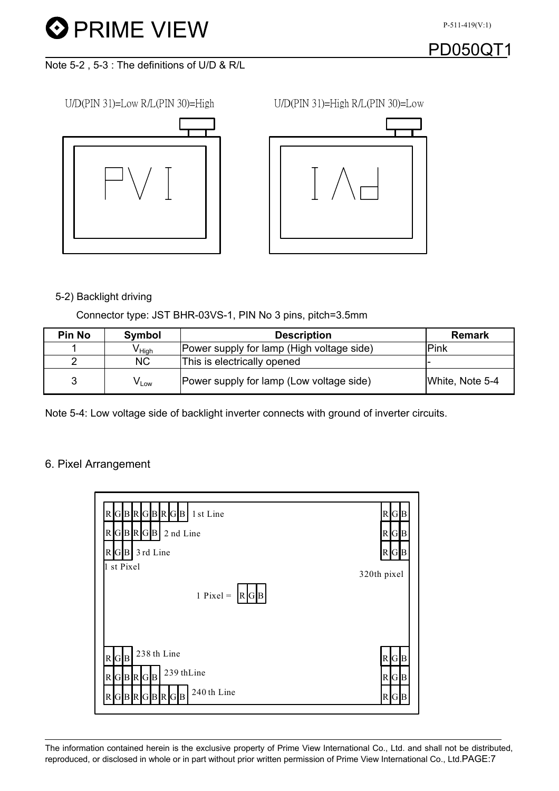## PD050Q

Note 5-2 , 5-3 : The definitions of U/D & R/L





#### 5-2) Backlight driving

Connector type: JST BHR-03VS-1, PIN No 3 pins, pitch=3.5mm

| <b>Pin No</b> | <b>Symbol</b>               | <b>Description</b>                        | <b>Remark</b>   |
|---------------|-----------------------------|-------------------------------------------|-----------------|
|               | V <sub>High</sub>           | Power supply for lamp (High voltage side) | Pink            |
| റ             | <b>NC</b>                   | This is electrically opened               |                 |
| 3             | $\mathsf{V}_{\mathsf{Low}}$ | Power supply for lamp (Low voltage side)  | White, Note 5-4 |

Note 5-4: Low voltage side of backlight inverter connects with ground of inverter circuits.

#### 6. Pixel Arrangement

| RGBRGBRGB<br>1 st Line<br>$R$ GBRGB 2 nd Line<br>3 rd Line<br>$R$ G $B$<br>1 st Pixel | R G B<br>$R$ G $B$<br>$R$ $G$ $B$<br>320th pixel |
|---------------------------------------------------------------------------------------|--------------------------------------------------|
| $1$ Pixel =<br>$R$ G $B$                                                              |                                                  |
| 238 th Line<br>R G B<br>239 thLine<br>$R$ GBRGB                                       | R G B<br>$R$ G $B$                               |
| 240 th Line<br>GBRGBRGB<br>R                                                          | $R$ GB                                           |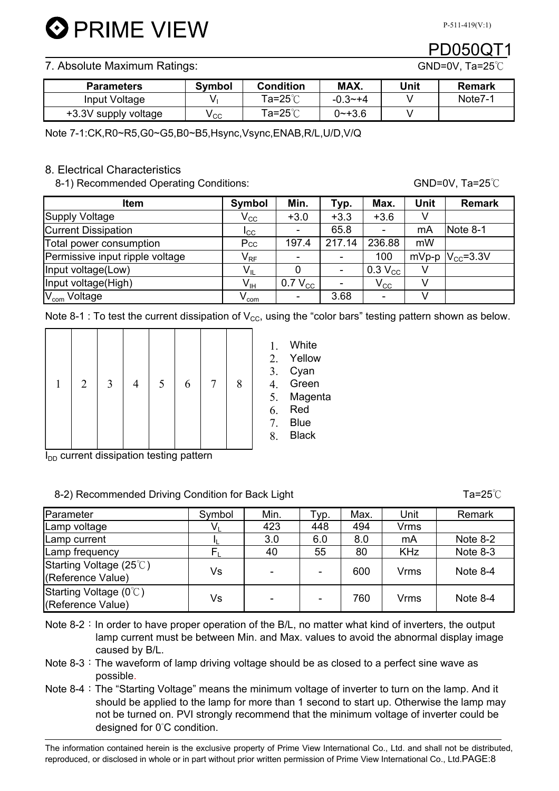#### 7. Absolute Maximum Ratings: GND=0V, Ta=25 ℃

| <b>Parameters</b>    | <b>Symbol</b> | <b>Condition</b>   | MAX.        | Unit | Remark  |
|----------------------|---------------|--------------------|-------------|------|---------|
| Input Voltage        |               | <sup>т</sup> а=25℃ | $-0.3 - +4$ |      | Note7-1 |
| +3.3V supply voltage | у сс          | Ta=25℃             | 0~+3.6      |      |         |

Note 7-1:CK,R0~R5,G0~G5,B0~B5,Hsync,Vsync,ENAB,R/L,U/D,V/Q

#### 8. Electrical Characteristics

8-1) Recommended Operating Conditions: GND=0V, Ta=25°C

| Item                            | Symbol             | Min.                     | Typ.           | Max.                       | <b>Unit</b> | <b>Remark</b>         |
|---------------------------------|--------------------|--------------------------|----------------|----------------------------|-------------|-----------------------|
| <b>Supply Voltage</b>           | $\rm V_{\rm CC}$   | $+3.0$                   | $+3.3$         | $+3.6$                     |             |                       |
| <b>Current Dissipation</b>      | <b>I</b> cc        | ٠                        | 65.8           |                            | mA          | Note 8-1              |
| Total power consumption         | Pcc                | 197.4                    | 217.14         | 236.88                     | mW          |                       |
| Permissive input ripple voltage | $V_{RF}$           | $\overline{\phantom{0}}$ | -              | 100                        |             | mVp-p $ V_{CC}$ =3.3V |
| Input voltage(Low)              | $V_{IL}$           |                          | $\blacksquare$ | $0.3 V_{CC}$               |             |                       |
| Input voltage(High)             | $V_{\text{IH}}$    | $0.7 V_{CC}$             |                | $\mathsf{V}_{\mathsf{CC}}$ |             |                       |
| V <sub>com</sub> Voltage        | $V_{\mathsf{com}}$ | $\overline{\phantom{a}}$ | 3.68           |                            |             |                       |

Note 8-1 : To test the current dissipation of  $V_{CC}$ , using the "color bars" testing pattern shown as below.

1. White 2. Yellow 3. Cyan 4. Green 5. Magenta 6. Red 7. Blue 8. Black

|  |  | $1 \mid 2 \mid 3 \mid 4 \mid 5 \mid 6 \mid 7 \mid$ |  | 8 |  |
|--|--|----------------------------------------------------|--|---|--|
|  |  |                                                    |  |   |  |

 $I_{DD}$  current dissipation testing pattern

#### 8-2) Recommended Driving Condition for Back Light Ta=25к

Parameter | Symbol | Min. | Typ. | Max. | Unit | Remark  $\textsf{\small \textsf{amp}}$  voltage  $\textsf{\small \textsf{1}}\qquad \textsf{\small \textsf{1}}\qquad \textsf{\small \textsf{V}}_{\textsf{\tiny L}}\qquad \textsf{\small \textsf{1}}\qquad \textsf{\small \textsf{4}}$ Lamp current  $\begin{array}{ccc} \hline \end{array}$ Lamp frequency  $\begin{array}{|c|c|c|c|c|c|}\n\hline\n & & F_{\rm L} & 40 & 55 & 80 & KHz & Note 8-3\n\end{array}$ Starting Voltage (25 $°C$ ) Utahing voltage  $(25 \circ)$ <br>(Reference Value)  $\qquad \qquad$  Vs  $\qquad \qquad$  -  $\qquad \qquad$  600  $\qquad$  Vrms  $\qquad$  Note 8-4 Starting Voltage (0°C) Starting voltage (0 C)<br>(Reference Value) | Vs | - | - | 760 | Vrms | Note 8-4

Note  $8-2$ : In order to have proper operation of the B/L, no matter what kind of inverters, the output lamp current must be between Min. and Max. values to avoid the abnormal display image caused by B/L.

- Note  $8-3$ : The waveform of lamp driving voltage should be as closed to a perfect sine wave as possible.
- Note 8-4: The "Starting Voltage" means the minimum voltage of inverter to turn on the lamp. And it should be applied to the lamp for more than 1 second to start up. Otherwise the lamp may not be turned on. PVI strongly recommend that the minimum voltage of inverter could be designed for 0̓C condition.

The information contained herein is the exclusive property of Prime View International Co., Ltd. and shall not be distributed, reproduced, or disclosed in whole or in part without prior written permission of Prime View International Co., Ltd.PAGE:8

| ⊾⊔y⊓t |               |      |      | 1 a-20 U   |
|-------|---------------|------|------|------------|
| Лiп.  | $\tau_{VD}$ . | Max. | Unit | Remark     |
| 123   | 448           | 494  | Vrms |            |
| 3.0   | 6.0           | 8.0  | mA   | Note $8-2$ |
|       |               |      |      |            |

PD050QT1

**D** PRIME VIEW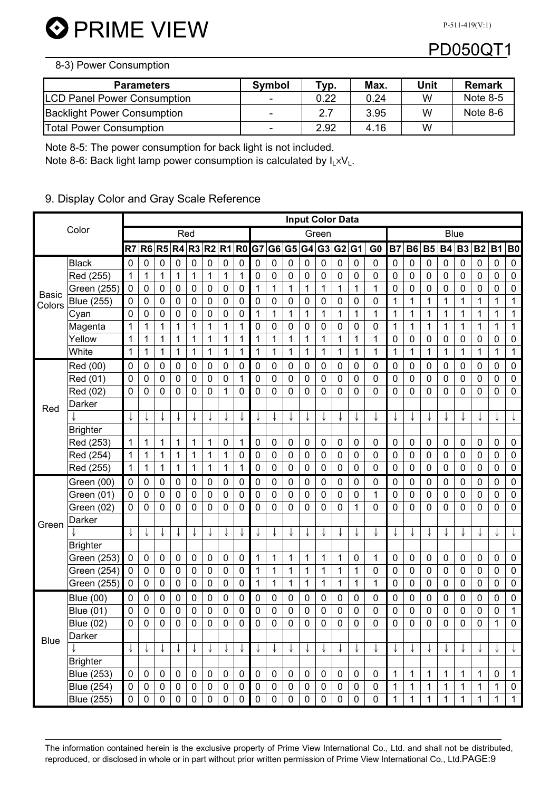**O** PRIME VIEW

P-511-419(V:1)

## PD050QT1

#### 8-3) Power Consumption

| <b>Parameters</b>                  | <b>Symbol</b>            | т <sub>ур.</sub> | Max. | Unit | Remark     |
|------------------------------------|--------------------------|------------------|------|------|------------|
| <b>LCD Panel Power Consumption</b> | -                        | 0.22             | 0.24 | w    | Note $8-5$ |
| <b>Backlight Power Consumption</b> | $\overline{\phantom{0}}$ | 2.7              | 3.95 | w    | Note 8-6   |
| <b>Total Power Consumption</b>     | -                        | 2.92             | 4.16 | W    |            |

Note 8-5: The power consumption for back light is not included.

Note 8-6: Back light lamp power consumption is calculated by  $I_L \times V_L$ .

#### 9. Display Color and Gray Scale Reference

|              |                   |             |                |                    |              |              |             |                |           |             |                |             |             |             | <b>Input Color Data</b> |             |                |              |              |              |              |             |              |                  |                  |
|--------------|-------------------|-------------|----------------|--------------------|--------------|--------------|-------------|----------------|-----------|-------------|----------------|-------------|-------------|-------------|-------------------------|-------------|----------------|--------------|--------------|--------------|--------------|-------------|--------------|------------------|------------------|
|              | Color             |             |                |                    | Red          |              |             |                |           |             |                |             |             | Green       |                         |             |                |              |              |              | <b>Blue</b>  |             |              |                  |                  |
|              |                   | R7          | R <sub>6</sub> | <b>R5 R4 R3 R2</b> |              |              |             | R <sub>1</sub> |           | R0 G7       | G <sub>6</sub> |             | G5 G4       |             | G3 G2 G1                |             | G <sub>0</sub> | <b>B7</b>    | <b>B6</b>    |              | B5 B4        | <b>B3</b>   | <b>B2</b>    | <b>B1</b>        | <b>B0</b>        |
|              | <b>Black</b>      | 0           | 0              | 0                  | 0            | 0            | 0           | 0              | 0         | 0           | 0              | $\mathbf 0$ | 0           | 0           | 0                       | 0           | 0              | 0            | 0            | 0            | 0            | 0           | 0            | 0                | $\pmb{0}$        |
|              | Red (255)         | 1           | 1              | 1                  | $\mathbf{1}$ | 1            | 1           | 1              | 1         | 0           | 0              | 0           | 0           | 0           | 0                       | 0           | $\mathbf 0$    | 0            | 0            | 0            | $\mathbf 0$  | 0           | 0            | 0                | $\boldsymbol{0}$ |
| <b>Basic</b> | Green (255)       | $\pmb{0}$   | 0              | 0                  | $\mathbf 0$  | 0            | $\pmb{0}$   | $\mathbf 0$    | 0         | 1           | 1              | 1           | 1           | 1           | 1                       | 1           | $\mathbf{1}$   | 0            | 0            | 0            | 0            | 0           | 0            | 0                | 0                |
| Colors       | Blue (255)        | $\mathbf 0$ | 0              | 0                  | $\mathbf 0$  | 0            | 0           | $\mathbf 0$    | 0         | 0           | 0              | 0           | 0           | 0           | 0                       | 0           | 0              | 1            | 1            | 1            | 1            | 1           | 1            | 1                | 1                |
|              | Cyan              | 0           | 0              | 0                  | $\mathbf 0$  | 0            | 0           | 0              | 0         | 1           | 1              | 1           | 1           | 1           | 1                       | 1           | 1              | $\mathbf{1}$ | 1            | 1            | 1            | 1           | 1            | 1                | 1                |
|              | Magenta           | 1           | 1              | 1                  | $\mathbf{1}$ | $\mathbf 1$  | 1           | 1              | 1         | 0           | $\pmb{0}$      | 0           | $\pmb{0}$   | 0           | $\mathbf 0$             | $\mathbf 0$ | 0              | 1            | 1            | $\mathbf{1}$ | 1            | $\mathbf 1$ | $\mathbf{1}$ | 1                | 1                |
|              | Yellow            | 1           | 1              | 1                  | 1            | $\mathbf{1}$ | 1           | 1              | 1         | 1           | 1              | 1           | 1           | 1           | 1                       | 1           | $\mathbf{1}$   | 0            | $\mathbf 0$  | $\mathbf 0$  | 0            | 0           | 0            | 0                | $\mathbf 0$      |
|              | White             | 1           | 1              | 1                  | 1            | 1            | 1           | 1              | 1         | 1           | 1              | 1           | 1           | 1           | 1                       | 1           | $\mathbf 1$    | 1            | 1            | 1            | 1            | 1           | 1            | 1                | 1                |
|              | Red (00)          | 0           | 0              | 0                  | $\mathbf 0$  | 0            | 0           | $\mathbf 0$    | 0         | 0           | 0              | 0           | 0           | 0           | 0                       | 0           | 0              | 0            | 0            | $\pmb{0}$    | 0            | 0           | 0            | 0                | $\pmb{0}$        |
|              | Red (01)          | 0           | 0              | 0                  | $\mathbf 0$  | 0            | 0           | 0              | 1         | 0           | 0              | 0           | 0           | 0           | 0                       | 0           | 0              | 0            | 0            | $\mathbf 0$  | 0            | 0           | 0            | 0                | $\mathbf 0$      |
|              | Red (02)          | 0           | 0              | 0                  | 0            | 0            | 0           | 1              | 0         | 0           | 0              | 0           | 0           | 0           | 0                       | $\mathbf 0$ | 0              | 0            | $\mathbf 0$  | 0            | 0            | 0           | 0            | 0                | 0                |
| Red          | Darker            |             |                |                    |              |              |             |                |           |             |                |             |             |             |                         |             |                |              |              |              |              |             |              |                  |                  |
|              |                   |             |                |                    |              |              |             |                |           |             |                |             |             |             |                         |             |                |              |              |              |              |             |              |                  |                  |
|              | <b>Brighter</b>   |             |                |                    |              |              |             |                |           |             |                |             |             |             |                         |             |                |              |              |              |              |             |              |                  |                  |
|              | Red (253)         | 1           | 1              | 1                  | 1            | 1            | 1           | 0              | 1         | 0           | 0              | 0           | 0           | 0           | 0                       | 0           | 0              | 0            | 0            | 0            | 0            | 0           | 0            | 0                | $\mathbf 0$      |
|              | Red (254)         | 1           | 1              | 1                  | 1            | 1            | 1           | 1              | 0         | 0           | 0              | $\mathbf 0$ | 0           | 0           | 0                       | 0           | 0              | 0            | $\mathbf 0$  | 0            | $\pmb{0}$    | 0           | 0            | $\mathbf 0$      | 0                |
|              | Red (255)         | 1           | 1              | 1                  | 1            | 1            | 1           | 1              | 1         | 0           | 0              | 0           | 0           | 0           | 0                       | $\mathbf 0$ | 0              | 0            | 0            | 0            | 0            | $\mathbf 0$ | 0            | 0                | $\boldsymbol{0}$ |
|              | Green (00)        | $\mathbf 0$ | 0              | 0                  | $\mathbf 0$  | 0            | 0           | $\mathbf 0$    | 0         | 0           | 0              | 0           | 0           | 0           | 0                       | 0           | 0              | 0            | 0            | 0            | 0            | 0           | 0            | 0                | $\boldsymbol{0}$ |
|              | Green (01)        | $\mathbf 0$ | 0              | 0                  | $\pmb{0}$    | 0            | 0           | $\mathbf 0$    | 0         | 0           | $\pmb{0}$      | $\mathbf 0$ | 0           | $\mathbf 0$ | $\pmb{0}$               | $\mathbf 0$ | $\mathbf 1$    | 0            | $\mathbf 0$  | $\pmb{0}$    | $\pmb{0}$    | $\mathbf 0$ | 0            | $\boldsymbol{0}$ | $\pmb{0}$        |
|              | Green (02)        | 0           | 0              | 0                  | 0            | 0            | 0           | 0              | 0         | 0           | 0              | 0           | 0           | 0           | 0                       | 1           | 0              | 0            | 0            | 0            | 0            | $\mathbf 0$ | 0            | 0                | 0                |
| Green        | Darker            |             |                |                    |              |              |             |                |           |             |                |             |             |             |                         |             |                |              |              |              |              |             |              |                  |                  |
|              |                   |             | ν              |                    | ↓            | ↓            |             |                |           | ↓           |                | ↓           |             |             |                         |             | ↓              | ↓            |              |              | ↓            |             |              |                  | ↓                |
|              | <b>Brighter</b>   |             |                |                    |              |              |             |                |           |             |                |             |             |             |                         |             |                |              |              |              |              |             |              |                  |                  |
|              | Green (253)       | $\mathbf 0$ | 0              | 0                  | $\pmb{0}$    | 0            | 0           | $\pmb{0}$      | 0         | 1           | 1              | 1           | 1           | 1           | $\mathbf 1$             | 0           | $\mathbf 1$    | 0            | 0            | $\pmb{0}$    | 0            | 0           | 0            | 0                | $\mathbf 0$      |
|              | Green (254)       | $\mathbf 0$ | 0              | $\mathbf 0$        | $\pmb{0}$    | 0            | $\pmb{0}$   | $\mathbf 0$    | 0         | 1           | 1              | 1           | 1           | 1           | 1                       | 1           | 0              | 0            | $\pmb{0}$    | $\pmb{0}$    | 0            | 0           | 0            | $\pmb{0}$        | $\boldsymbol{0}$ |
|              | Green (255)       | $\mathbf 0$ | 0              | $\mathbf 0$        | $\pmb{0}$    | 0            | 0           | 0              | 0         | 1           | 1              | 1           | 1           | 1           | 1                       | 1           | 1              | 0            | $\pmb{0}$    | 0            | 0            | 0           | 0            | 0                | $\boldsymbol{0}$ |
|              | <b>Blue (00)</b>  | 0           | 0              | 0                  | $\pmb{0}$    | 0            | 0           | 0              | 0         | 0           | 0              | 0           | $\mathbf 0$ | $\pmb{0}$   | 0                       | 0           | 0              | 0            | $\mathbf 0$  | $\pmb{0}$    | $\pmb{0}$    | 0           | 0            | 0                | $\pmb{0}$        |
|              | <b>Blue (01)</b>  | 0           | 0              | 0                  | 0            | 0            | 0           | 0              | 0         | 0           | 0              | 0           | 0           | 0           | 0                       | 0           | 0              | 0            | 0            | 0            | 0            | 0           | 0            | 0                | 1                |
|              | <b>Blue (02)</b>  | 0           | 0              | 0                  | 0            | 0            | 0           | 0              | 0         | 0           | 0              | 0           | 0           | 0           | 0                       | 0           | 0              | 0            | 0            | 0            | 0            | 0           | 0            | 1                | 0                |
| <b>Blue</b>  | Darker            |             |                |                    |              |              |             |                |           |             |                |             |             |             |                         |             |                |              |              |              |              |             |              |                  |                  |
|              |                   |             |                |                    |              |              |             |                |           |             |                |             |             |             |                         |             |                |              |              |              |              |             |              |                  | ↓                |
|              | <b>Brighter</b>   |             |                |                    |              |              |             |                |           |             |                |             |             |             |                         |             |                |              |              |              |              |             |              |                  |                  |
|              | <b>Blue (253)</b> | $\mathbf 0$ | 0              | $\mathbf 0$        | $\mathbf 0$  | $\pmb{0}$    | 0           | 0              | 0         | $\mathbf 0$ | 0              | 0           | 0           | 0           | $\mathbf 0$             | $\mathbf 0$ | 0              | 1            | 1            | 1            | 1            | 1           | 1            | $\mathbf 0$      | 1                |
|              | <b>Blue (254)</b> | $\pmb{0}$   | $\pmb{0}$      | $\pmb{0}$          | $\pmb{0}$    | $\pmb{0}$    | $\mathbf 0$ | $\pmb{0}$      | $\pmb{0}$ | $\pmb{0}$   | $\pmb{0}$      | $\pmb{0}$   | $\pmb{0}$   | $\pmb{0}$   | $\pmb{0}$               | $\pmb{0}$   | $\pmb{0}$      | $\mathbf 1$  | 1            | 1            | $\mathbf{1}$ | $\mathbf 1$ | $\mathbf{1}$ | $\mathbf{1}$     | 0                |
|              | <b>Blue (255)</b> | $\pmb{0}$   | $\pmb{0}$      | $\pmb{0}$          | $\pmb{0}$    | 0            | $\pmb{0}$   | $\mathbf 0$    | $\pmb{0}$ | $\mathbf 0$ | $\pmb{0}$      | $\pmb{0}$   | $\mathbf 0$ | $\pmb{0}$   | $\pmb{0}$               | $\pmb{0}$   | $\mathbf 0$    | $\mathbf 1$  | $\mathbf{1}$ | $\mathbf 1$  | $\mathbf 1$  | $\mathbf 1$ | $\mathbf 1$  | $\mathbf{1}$     | 1 <sup>1</sup>   |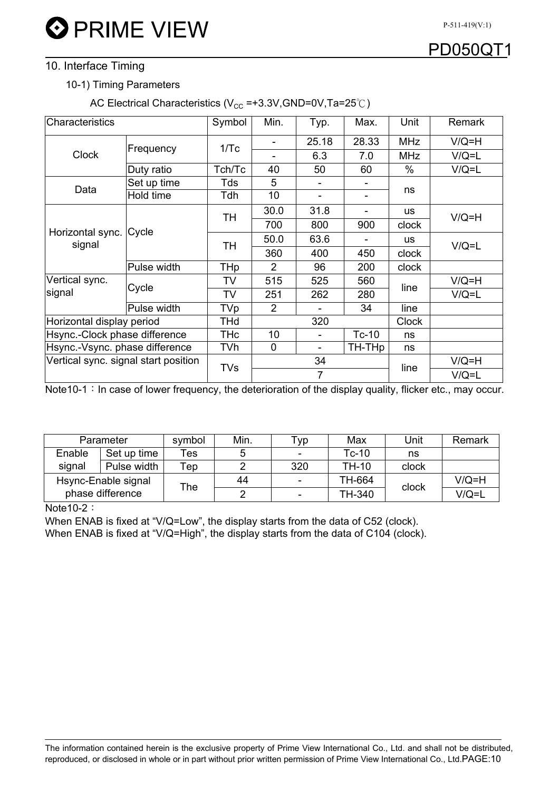## PD050C

#### 10. Interface Timing

#### 10-1) Timing Parameters

AC Electrical Characteristics ( $V_{CC}$  =+3.3V,GND=0V,Ta=25°C)

| Characteristics                      |                | Symbol     | Min.           | Typ.                     | Max.      | Unit         | <b>Remark</b> |
|--------------------------------------|----------------|------------|----------------|--------------------------|-----------|--------------|---------------|
| <b>Clock</b>                         | Frequency      | 1/Tc       |                | 25.18                    | 28.33     | <b>MHz</b>   | $V/Q=H$       |
|                                      |                |            |                | 6.3                      | 7.0       | <b>MHz</b>   | $V/Q = L$     |
|                                      | Duty ratio     | Tch/Tc     | 40             | 50                       | 60        | $\%$         | $V/Q = L$     |
| Data                                 | Set up time    | Tds        | 5              |                          |           |              |               |
|                                      | Hold time      | Tdh        | 10             |                          |           | ns           |               |
| Horizontal sync.<br>signal           | Cycle          | TН         | 30.0           | 31.8                     |           | us           | $V/Q=H$       |
|                                      |                |            | 700            | 800                      | 900       | clock        |               |
|                                      |                | TН         | 50.0           | 63.6                     |           | us           | $V/Q = L$     |
|                                      |                |            | 360            | 400                      | 450       | clock        |               |
|                                      | Pulse width    | THp        | $\overline{2}$ | 96                       | 200       | clock        |               |
| Vertical sync.<br>signal             | Cycle          | TV         | 515            | 525                      | 560       | line         | $V/Q=H$       |
|                                      |                | TV         | 251            | 262                      | 280       |              | $V/Q = L$     |
|                                      | Pulse width    | TVp        | 2              |                          | 34        | line         |               |
| Horizontal display period            |                | THd        |                | 320                      |           | <b>Clock</b> |               |
| Hsync.-Clock phase difference        |                | <b>THc</b> | 10             | $\overline{\phantom{a}}$ | $Tc-10$   | ns           |               |
| Hsync.-Vsync. phase difference       |                | TVh        | 0              | Ξ.                       | TH-THp    | ns           |               |
| Vertical sync. signal start position |                | TVs        | 34             |                          |           | line         | $V/Q=H$       |
|                                      | $\overline{7}$ |            |                |                          | $V/Q = L$ |              |               |

Note10-1: In case of lower frequency, the deterioration of the display quality, flicker etc., may occur.

| Parameter           |             | symbol | Min. | ™ур                      | Max          | Unit  | Remark  |
|---------------------|-------------|--------|------|--------------------------|--------------|-------|---------|
| Enable              | Set up time | Tes    | 5    | $\overline{\phantom{0}}$ | $Tc-10$      | ns    |         |
| signal              | Pulse width | ™ер    |      | 320                      | <b>TH-10</b> | clock |         |
| Hsync-Enable signal |             | ⊤he    | 44   |                          | TH-664       | clock | $V/Q=H$ |
| phase difference    |             |        |      | ۰                        | TH-340       |       | V/Q=L   |

#### Note  $10-2$ :

When ENAB is fixed at "V/Q=Low", the display starts from the data of C52 (clock).

When ENAB is fixed at "V/Q=High", the display starts from the data of C104 (clock).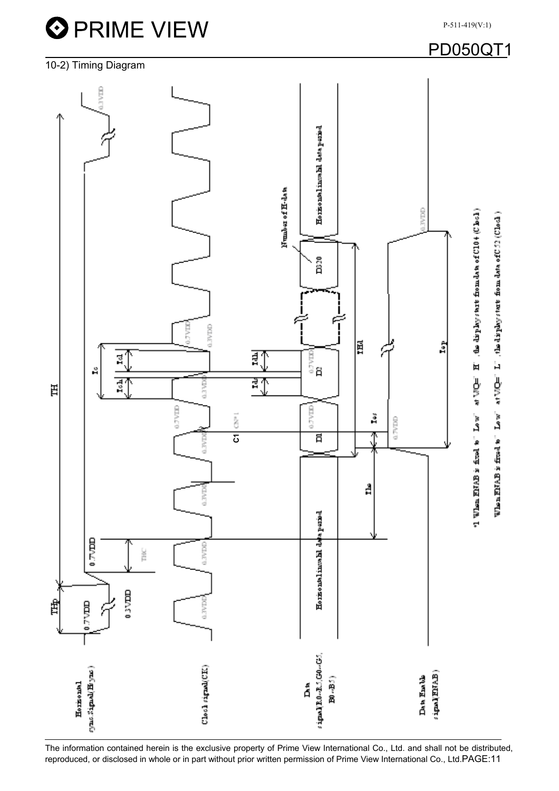

The information contained herein is the exclusive property of Prime View International Co., Ltd. and shall not be distributed, reproduced, or disclosed in whole or in part without prior written permission of Prime View International Co., Ltd.PAGE:11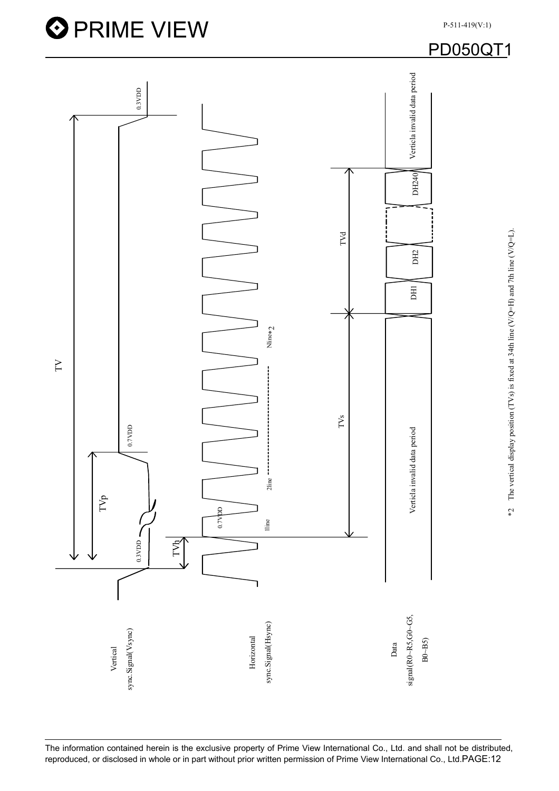

**O** PRIME VIEW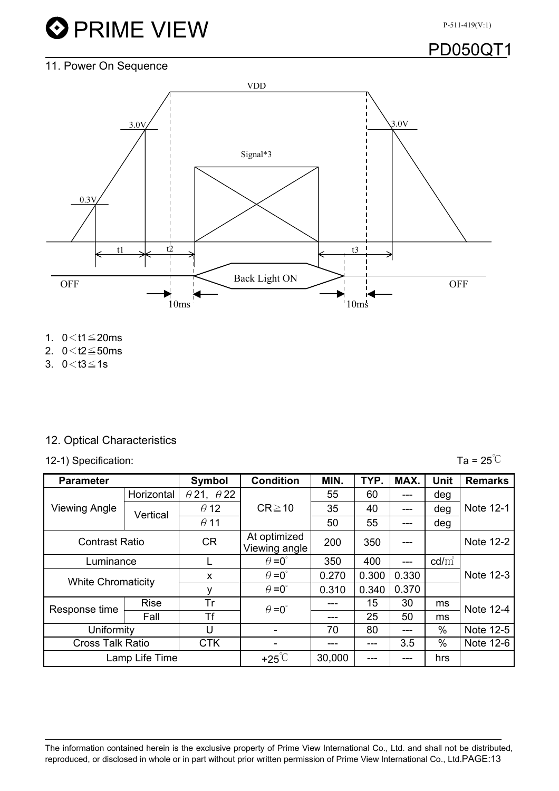# **O** PRIME VIEW

P-511-419(V:1)

## PD050QT1

## 11. Power On Sequence



- 1.  $0 < t1 \le 20$ ms
- 2.  $0 < t2 \le 50$ ms
- 3.  $0 < t3 \le 1s$

#### 12. Optical Characteristics

12-1) Specification:  $\overline{a} = 25^{\circ}C$ 

| <b>Parameter</b>          |             | Symbol                   | <b>Condition</b>              | MIN.  | TYP.  | MAX.  | <b>Unit</b> | <b>Remarks</b> |
|---------------------------|-------------|--------------------------|-------------------------------|-------|-------|-------|-------------|----------------|
| <b>Viewing Angle</b>      | Horizontal  | $\theta$ 21, $\theta$ 22 |                               | 55    | 60    | ---   | deg         | Note 12-1      |
|                           | Vertical    | $\theta$ 12              | $CR \ge 10$                   | 35    | 40    | $---$ | deg         |                |
|                           |             | $\theta$ 11              |                               | 50    | 55    | ---   | deg         |                |
| <b>Contrast Ratio</b>     |             | <b>CR</b>                | At optimized<br>Viewing angle | 200   | 350   | $---$ |             | Note 12-2      |
| Luminance                 |             |                          | $\theta = 0^{\circ}$          | 350   | 400   | ---   | $cd/m^2$    |                |
| <b>White Chromaticity</b> |             | X                        | $\theta = 0^{\circ}$          | 0.270 | 0.300 | 0.330 |             | Note 12-3      |
|                           |             | ٧                        | $\theta = 0^{\circ}$<br>0.310 |       | 0.340 | 0.370 |             |                |
| Response time             | <b>Rise</b> | Tr                       | $\theta = 0^{\circ}$          |       | 15    | 30    | ms          | Note 12-4      |
|                           | Fall        | Τf                       |                               | ---   | 25    | 50    | ms          |                |
| Uniformity                |             | U                        |                               | 70    | 80    | ---   | $\%$        | Note 12-5      |
| <b>Cross Talk Ratio</b>   |             | <b>CTK</b>               |                               | ---   |       | 3.5   | %           | Note 12-6      |
| Lamp Life Time            |             | $+25^{\circ}$ C          | 30,000                        |       | ---   | hrs   |             |                |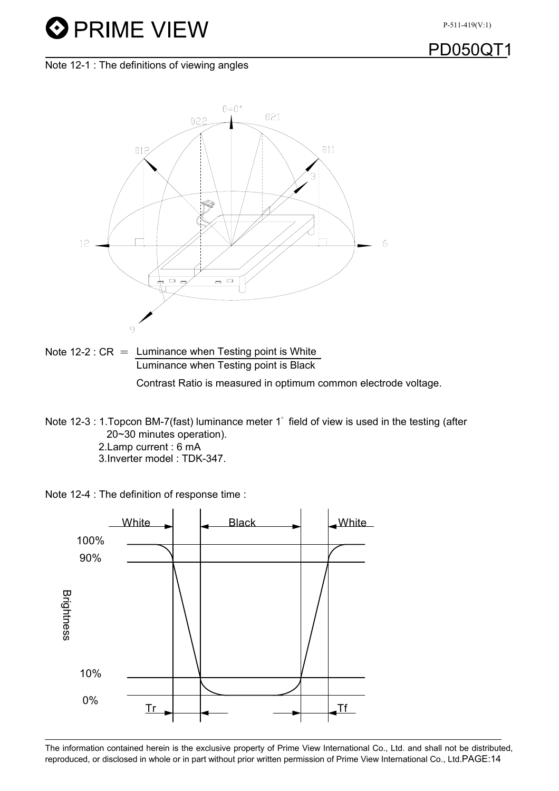# **O** PRIME VIEW

**PD050C** 

Note 12-1 : The definitions of viewing angles



- Note 12-2 :  $CR =$  Luminance when Testing point is White Luminance when Testing point is Black Contrast Ratio is measured in optimum common electrode voltage.
- Note 12-3 : 1. Topcon BM-7(fast) luminance meter 1° field of view is used in the testing (after 20~30 minutes operation).
	- 2.Lamp current : 6 mA
	- 3.Inverter model : TDK-347.



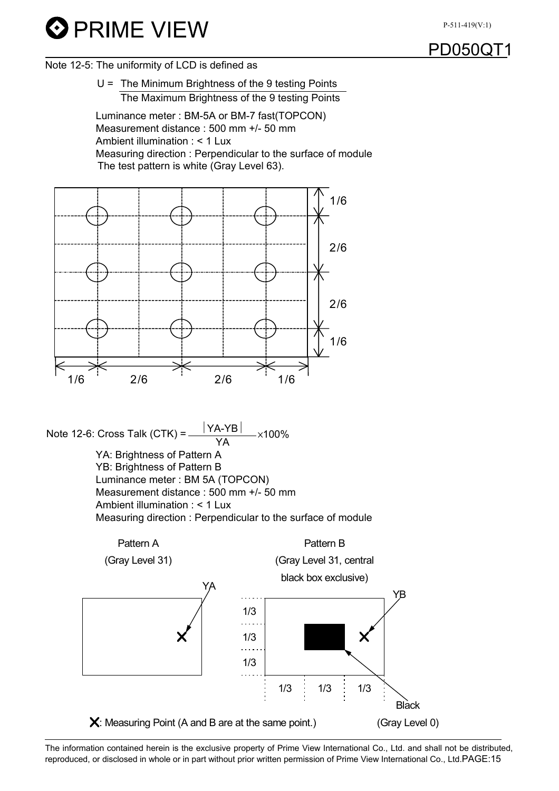



Note 12-5: The uniformity of LCD is defined as

U = The Minimum Brightness of the 9 testing Points The Maximum Brightness of the 9 testing Points

Luminance meter : BM-5A or BM-7 fast(TOPCON) Measurement distance : 500 mm +/- 50 mm Ambient illumination : < 1 Lux Measuring direction : Perpendicular to the surface of module The test pattern is white (Gray Level 63).



Note 12-6: Cross Talk (CTK) =  $\frac{|YA-YB|}{YA} \times 100\%$ YA: Brightness of Pattern A YB: Brightness of Pattern B Luminance meter : BM 5A (TOPCON) Measurement distance : 500 mm +/- 50 mm Ambient illumination : < 1 Lux Measuring direction : Perpendicular to the surface of module

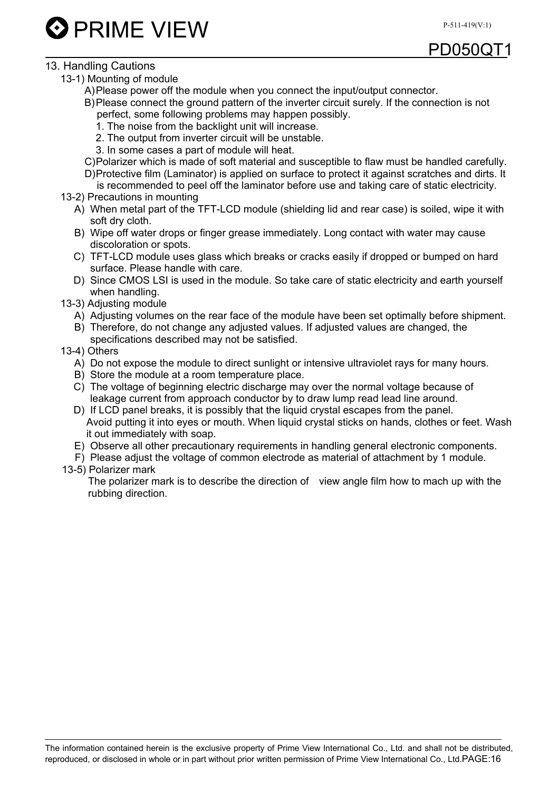PD050Q

**D** PRIME VIEW

#### 13. Handling Cautions

- 13-1) Mounting of module
	- A) Please power off the module when you connect the input/output connector.
	- B) Please connect the ground pattern of the inverter circuit surely. If the connection is not perfect, some following problems may happen possibly.
		- 1. The noise from the backlight unit will increase.
		- 2. The output from inverter circuit will be unstable.
		- 3. In some cases a part of module will heat.
	- C) Polarizer which is made of soft material and susceptible to flaw must be handled carefully.
	- D) Protective film (Laminator) is applied on surface to protect it against scratches and dirts. It is recommended to peel off the laminator before use and taking care of static electricity.
- 13-2) Precautions in mounting
	- A) When metal part of the TFT-LCD module (shielding lid and rear case) is soiled, wipe it with soft dry cloth.
	- B) Wipe off water drops or finger grease immediately. Long contact with water may cause discoloration or spots.
	- C) TFT-LCD module uses glass which breaks or cracks easily if dropped or bumped on hard surface. Please handle with care.
	- D) Since CMOS LSI is used in the module. So take care of static electricity and earth yourself when handling.
- 13-3) Adjusting module
	- A) Adjusting volumes on the rear face of the module have been set optimally before shipment.
	- B) Therefore, do not change any adjusted values. If adjusted values are changed, the specifications described may not be satisfied.
- 13-4) Others
	- A) Do not expose the module to direct sunlight or intensive ultraviolet rays for many hours.
	- B) Store the module at a room temperature place.
	- C) The voltage of beginning electric discharge may over the normal voltage because of leakage current from approach conductor by to draw lump read lead line around.
	- D) If LCD panel breaks, it is possibly that the liquid crystal escapes from the panel. Avoid putting it into eyes or mouth. When liquid crystal sticks on hands, clothes or feet. Wash it out immediately with soap.
	- E) Observe all other precautionary requirements in handling general electronic components.
	- F) Please adjust the voltage of common electrode as material of attachment by 1 module.
- 13-5) Polarizer mark

The polarizer mark is to describe the direction of view angle film how to mach up with the rubbing direction.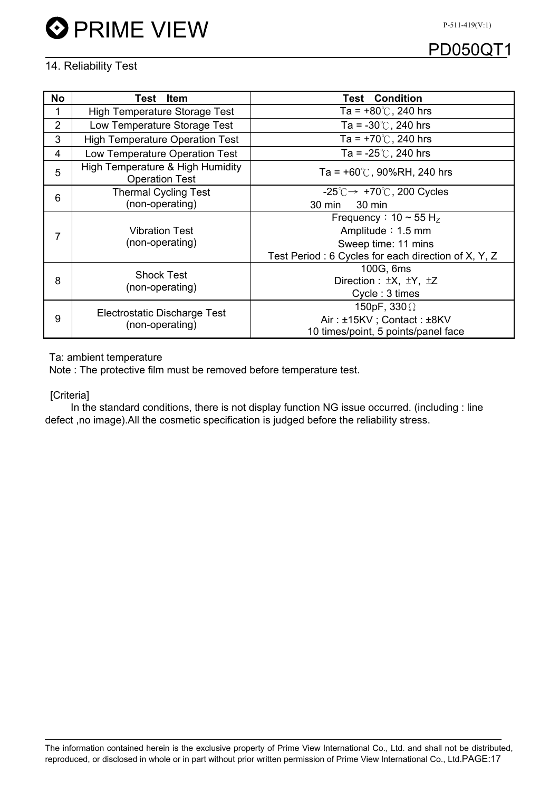

## PD050QT1

#### 14. Reliability Test

| <b>No</b>      | Item<br>Test                                              | <b>Test Condition</b>                                      |  |  |  |  |
|----------------|-----------------------------------------------------------|------------------------------------------------------------|--|--|--|--|
|                | High Temperature Storage Test                             | Ta = $+80^{\circ}$ C, 240 hrs                              |  |  |  |  |
| $\overline{2}$ | Low Temperature Storage Test                              | Ta = $-30^{\circ}$ C, 240 hrs                              |  |  |  |  |
| 3              | <b>High Temperature Operation Test</b>                    | Ta = $+70^{\circ}$ C, 240 hrs                              |  |  |  |  |
| 4              | Low Temperature Operation Test                            | Ta = $-25^{\circ}$ C, 240 hrs                              |  |  |  |  |
| 5              | High Temperature & High Humidity<br><b>Operation Test</b> | Ta = $+60^{\circ}$ C, 90%RH, 240 hrs                       |  |  |  |  |
| 6              | <b>Thermal Cycling Test</b>                               | $-25^{\circ}$ C $\rightarrow$ +70 $^{\circ}$ C, 200 Cycles |  |  |  |  |
|                | (non-operating)                                           | 30 min<br>30 min                                           |  |  |  |  |
| 7              | <b>Vibration Test</b><br>(non-operating)                  | Frequency: $10 \sim 55$ H <sub>z</sub>                     |  |  |  |  |
|                |                                                           | Amplitude: 1.5 mm                                          |  |  |  |  |
|                |                                                           | Sweep time: 11 mins                                        |  |  |  |  |
|                |                                                           | Test Period: 6 Cycles for each direction of X, Y, Z        |  |  |  |  |
| 8              | <b>Shock Test</b>                                         | 100G, 6ms                                                  |  |  |  |  |
|                | (non-operating)                                           | Direction : $\pm X$ , $\pm Y$ , $\pm Z$                    |  |  |  |  |
|                |                                                           | Cycle: 3 times                                             |  |  |  |  |
| 9              | Electrostatic Discharge Test                              | 150pF, $330\Omega$                                         |  |  |  |  |
|                | (non-operating)                                           | Air: ±15KV; Contact: ±8KV                                  |  |  |  |  |
|                |                                                           | 10 times/point, 5 points/panel face                        |  |  |  |  |

Ta: ambient temperature

Note : The protective film must be removed before temperature test.

[Criteria]

In the standard conditions, there is not display function NG issue occurred. (including : line defect ,no image).All the cosmetic specification is judged before the reliability stress.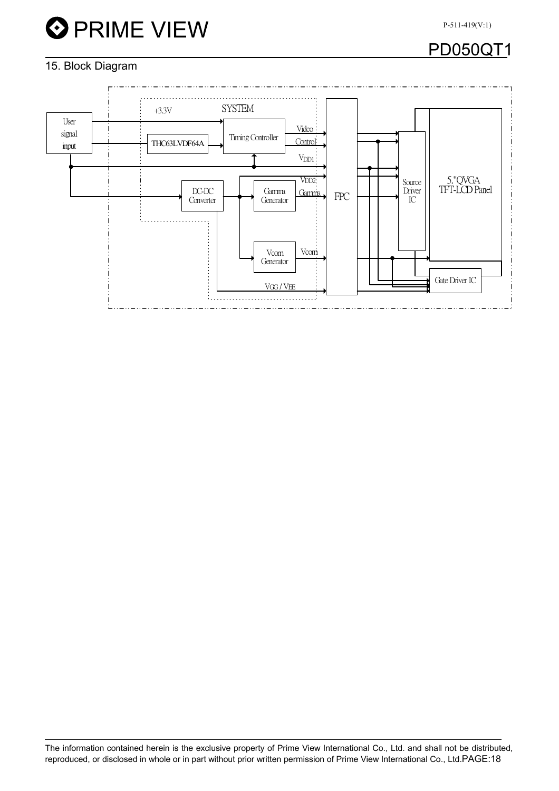

## PD050QT1

#### 15. Block Diagram